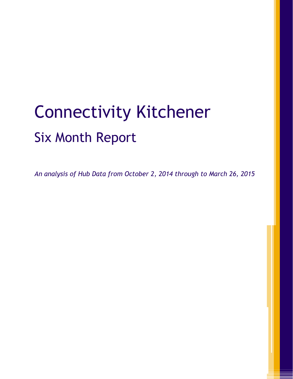# Connectivity Kitchener Six Month Report

*An analysis of Hub Data from October 2, 2014 through to March 26, 2015*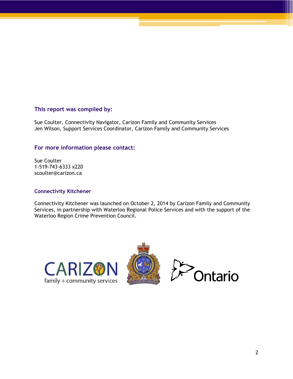#### **This report was compiled by:**

Sue Coulter, Connectivity Navigator, Carizon Family and Community Services Jen Wilson, Support Services Coordinator, Carizon Family and Community Services

#### **For more information please contact:**

Sue Coulter 1-519-743-6333 x220 scoulter@carizon.ca

#### **Connectivity Kitchener**

Connectivity Kitchener was launched on October 2, 2014 by Carizon Family and Community Services, in partnership with Waterloo Regional Police Services and with the support of the Waterloo Region Crime Prevention Council.





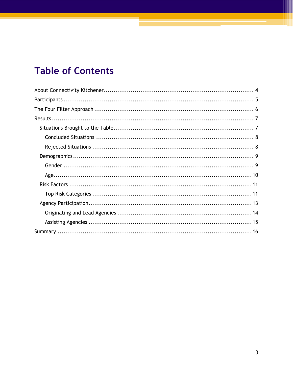# **Table of Contents**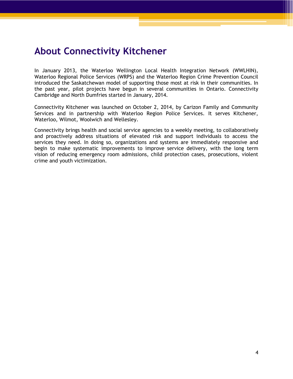# <span id="page-3-0"></span>**About Connectivity Kitchener**

In January 2013, the Waterloo Wellington Local Health Integration Network (WWLHIN), Waterloo Regional Police Services (WRPS) and the Waterloo Region Crime Prevention Council introduced the Saskatchewan model of supporting those most at risk in their communities. In the past year, pilot projects have begun in several communities in Ontario. Connectivity Cambridge and North Dumfries started in January, 2014.

Connectivity Kitchener was launched on October 2, 2014, by Carizon Family and Community Services and in partnership with Waterloo Region Police Services. It serves Kitchener, Waterloo, Wilmot, Woolwich and Wellesley.

Connectivity brings health and social service agencies to a weekly meeting, to collaboratively and proactively address situations of elevated risk and support individuals to access the services they need. In doing so, organizations and systems are immediately responsive and begin to make systematic improvements to improve service delivery, with the long term vision of reducing emergency room admissions, child protection cases, prosecutions, violent crime and youth victimization.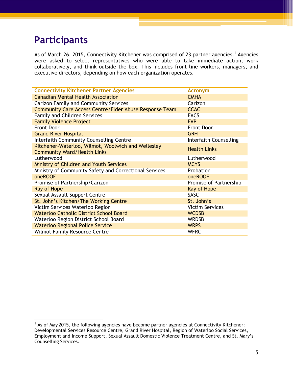# <span id="page-4-0"></span>**Participants**

As of March 26, 2015, Connectivity Kitchener was comprised of 23 partner agencies.<sup>1</sup> Agencies were asked to select representatives who were able to take immediate action, work collaboratively, and think outside the box. This includes front line workers, managers, and executive directors, depending on how each organization operates.

| <b>Connectivity Kitchener Partner Agencies</b>         | <b>Acronym</b>         |
|--------------------------------------------------------|------------------------|
| <b>Canadian Mental Health Association</b>              | <b>CMHA</b>            |
| Carizon Family and Community Services                  | Carizon                |
| Community Care Access Centre/Elder Abuse Response Team | <b>CCAC</b>            |
| <b>Family and Children Services</b>                    | <b>FACS</b>            |
| <b>Family Violence Project</b>                         | <b>FVP</b>             |
| <b>Front Door</b>                                      | <b>Front Door</b>      |
| <b>Grand River Hospital</b>                            | <b>GRH</b>             |
| Interfaith Community Counselling Centre                | Interfaith Counselling |
| Kitchener-Waterloo, Wilmot, Woolwich and Wellesley     | <b>Health Links</b>    |
| <b>Community Ward/Health Links</b>                     |                        |
| Lutherwood                                             | Lutherwood             |
| <b>Ministry of Children and Youth Services</b>         | <b>MCYS</b>            |
| Ministry of Community Safety and Correctional Services | Probation              |
| oneROOF                                                | oneROOF                |
| Promise of Partnership/Carizon                         | Promise of Partnership |
| Ray of Hope                                            | Ray of Hope            |
| Sexual Assault Support Centre                          | <b>SASC</b>            |
| St. John's Kitchen/The Working Centre                  | St. John's             |
| Victim Services Waterloo Region                        | <b>Victim Services</b> |
| <b>Waterloo Catholic District School Board</b>         | <b>WCDSB</b>           |
| Waterloo Region District School Board                  | <b>WRDSB</b>           |
| <b>Waterloo Regional Police Service</b>                | <b>WRPS</b>            |
| <b>Wilmot Family Resource Centre</b>                   | <b>WFRC</b>            |

  $1$  As of May 2015, the following agencies have become partner agencies at Connectivity Kitchener: Developmental Services Resource Centre, Grand River Hospital, Region of Waterloo Social Services, Employment and Income Support, Sexual Assault Domestic Violence Treatment Centre, and St. Mary's Counselling Services.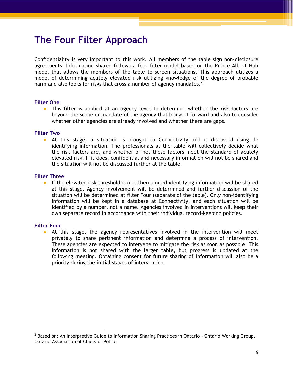# <span id="page-5-0"></span>**The Four Filter Approach**

Confidentiality is very important to this work. All members of the table sign non-disclosure agreements. Information shared follows a four filter model based on the Prince Albert Hub model that allows the members of the table to screen situations. This approach utilizes a model of determining acutely elevated risk utilizing knowledge of the degree of probable harm and also looks for risks that cross a number of agency mandates.<sup>2</sup>

#### **Filter One**

 This filter is applied at an agency level to determine whether the risk factors are beyond the scope or mandate of the agency that brings it forward and also to consider whether other agencies are already involved and whether there are gaps.

#### **Filter Two**

 At this stage, a situation is brought to Connectivity and is discussed using de identifying information. The professionals at the table will collectively decide what the risk factors are, and whether or not these factors meet the standard of acutely elevated risk. If it does, confidential and necessary information will not be shared and the situation will not be discussed further at the table.

#### **Filter Three**

If the elevated risk threshold is met then limited identifying information will be shared at this stage. Agency involvement will be determined and further discussion of the situation will be determined at filter Four (separate of the table). Only non-identifying information will be kept in a database at Connectivity, and each situation will be identified by a number, not a name. Agencies involved in interventions will keep their own separate record in accordance with their individual record-keeping policies.

#### **Filter Four**

 $\bullet$  At this stage, the agency representatives involved in the intervention will meet privately to share pertinent information and determine a process of intervention. These agencies are expected to intervene to mitigate the risk as soon as possible. This information is not shared with the larger table, but progress is updated at the following meeting. Obtaining consent for future sharing of information will also be a priority during the initial stages of intervention.

 $^2$  Based on: An Interpretive Guide to Information Sharing Practices in Ontario - Ontario Working Group, Ontario Association of Chiefs of Police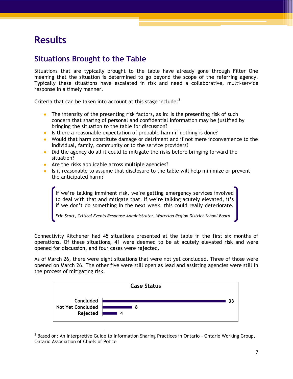# <span id="page-6-0"></span>**Results**

## <span id="page-6-1"></span>**Situations Brought to the Table**

Situations that are typically brought to the table have already gone through Filter One meaning that the situation is determined to go beyond the scope of the referring agency. Typically these situations have escalated in risk and need a collaborative, multi-service response in a timely manner.

Criteria that can be taken into account at this stage include: $3$ 

- $\bullet$  The intensity of the presenting risk factors, as in: Is the presenting risk of such concern that sharing of personal and confidential information may be justified by bringing the situation to the table for discussion?
- Is there a reasonable expectation of probable harm if nothing is done?
- Would that harm constitute damage or detriment and if not mere inconvenience to the individual, family, community or to the service providers?
- Did the agency do all it could to mitigate the risks before bringing forward the situation?
- Are the risks applicable across multiple agencies?
- Is it reasonable to assume that disclosure to the table will help minimize or prevent the anticipated harm?

If we're talking imminent risk, we're getting emergency services involved to deal with that and mitigate that. If we're talking acutely elevated, it's if we don't do something in the next week, this could really deteriorate.

*Erin Scott, Critical Events Response Administrator, Waterloo Region District School Board*

Connectivity Kitchener had 45 situations presented at the table in the first six months of operations. Of these situations, 41 were deemed to be at acutely elevated risk and were opened for discussion, and four cases were rejected.

As of March 26, there were eight situations that were not yet concluded. Three of those were opened on March 26. The other five were still open as lead and assisting agencies were still in the process of mitigating risk.



 <sup>3</sup> Based on: An Interpretive Guide to Information Sharing Practices in Ontario - Ontario Working Group, Ontario Association of Chiefs of Police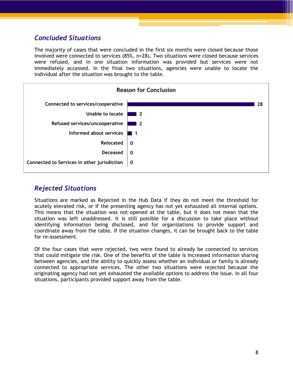## <span id="page-7-0"></span>*Concluded Situations*

The majority of cases that were concluded in the first six months were closed because those involved were connected to services (85%, n=28). Two situations were closed because services were refused, and in one situation information was provided but services were not immediately accessed. In the final two situations, agencies were unable to locate the individual after the situation was brought to the table.



#### <span id="page-7-1"></span>*Rejected Situations*

Situations are marked as Rejected in the Hub Data if they do not meet the threshold for acutely elevated risk, or if the presenting agency has not yet exhausted all internal options. This means that the situation was not opened at the table, but it does not mean that the situation was left unaddressed. It is still possible for a discussion to take place without identifying information being disclosed, and for organizations to provide support and coordinate away from the table. If the situation changes, it can be brought back to the table for re-assessment.

Of the four cases that were rejected, two were found to already be connected to services that could mitigate the risk. One of the benefits of the table is increased information sharing between agencies, and the ability to quickly assess whether an individual or family is already connected to appropriate services. The other two situations were rejected because the originating agency had not yet exhausted the available options to address the issue. In all four situations, participants provided support away from the table.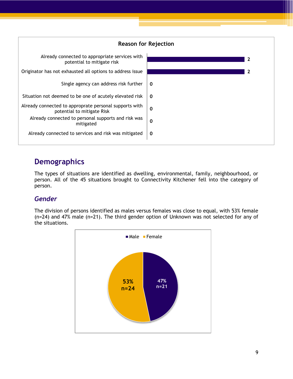

# <span id="page-8-0"></span>**Demographics**

The types of situations are identified as dwelling, environmental, family, neighbourhood, or person. All of the 45 situations brought to Connectivity Kitchener fell into the category of person.

## <span id="page-8-1"></span>*Gender*

The division of persons identified as males versus females was close to equal, with 53% female (n=24) and 47% male (n=21). The third gender option of Unknown was not selected for any of the situations.

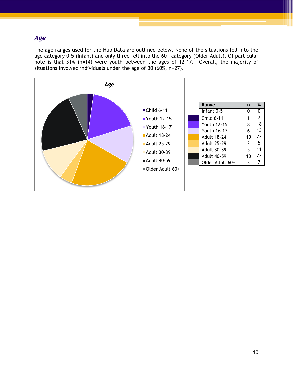## <span id="page-9-0"></span>*Age*

The age ranges used for the Hub Data are outlined below. None of the situations fell into the age category 0-5 (Infant) and only three fell into the 60+ category (Older Adult). Of particular note is that 31% (n=14) were youth between the ages of 12-17. Overall, the majority of situations involved individuals under the age of 30 (60%, n=27).



| Range              | n  | %              |
|--------------------|----|----------------|
| Infant $0-5$       | 0  | 0              |
| <b>Child 6-11</b>  | 1  | $\overline{2}$ |
| Youth 12-15        | 8  | 18             |
| Youth 16-17        | 6  | 13             |
| <b>Adult 18-24</b> | 10 | 22             |
| <b>Adult 25-29</b> | 2  | 5              |
| <b>Adult 30-39</b> | 5  | 11             |
| <b>Adult 40-59</b> | 10 | 22             |
| Older Adult 60+    | 3  |                |
|                    |    |                |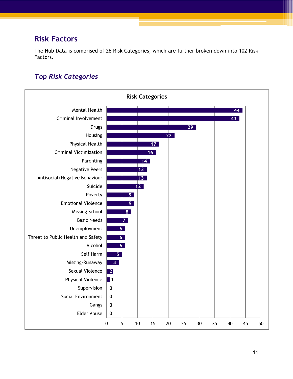## <span id="page-10-0"></span>**Risk Factors**

The Hub Data is comprised of 26 Risk Categories, which are further broken down into 102 Risk Factors.

## <span id="page-10-1"></span>*Top Risk Categories*

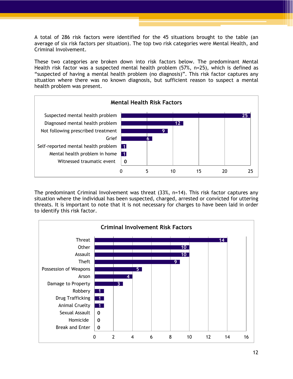A total of 286 risk factors were identified for the 45 situations brought to the table (an average of six risk factors per situation). The top two risk categories were Mental Health, and Criminal Involvement.

These two categories are broken down into risk factors below. The predominant Mental Health risk factor was a suspected mental health problem (57%, n=25), which is defined as "suspected of having a mental health problem (no diagnosis)". This risk factor captures any situation where there was no known diagnosis, but sufficient reason to suspect a mental health problem was present.



The predominant Criminal Involvement was threat (33%, n=14). This risk factor captures any situation where the individual has been suspected, charged, arrested or convicted for uttering threats. It is important to note that it is not necessary for charges to have been laid in order to identify this risk factor.

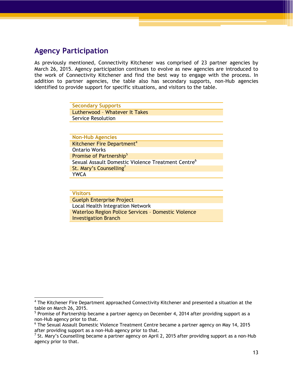## <span id="page-12-0"></span>**Agency Participation**

As previously mentioned, Connectivity Kitchener was comprised of 23 partner agencies by March 26, 2015. Agency participation continues to evolve as new agencies are introduced to the work of Connectivity Kitchener and find the best way to engage with the process. In addition to partner agencies, the table also has secondary supports, non-Hub agencies identified to provide support for specific situations, and visitors to the table.

| <b>Secondary Supports</b>      |
|--------------------------------|
| Lutherwood - Whatever It Takes |
| Service Resolution             |

**Non-Hub Agencies** Kitchener Fire Department<sup>4</sup> Ontario Works Promise of Partnership<sup>5</sup> Sexual Assault Domestic Violence Treatment Centre<sup>6</sup> St. Mary's Counselling<sup>7</sup> YWCA

#### **Visitors**

Guelph Enterprise Project Local Health Integration Network Waterloo Region Police Services – Domestic Violence Investigation Branch

<sup>&</sup>lt;sup>4</sup> The Kitchener Fire Department approached Connectivity Kitchener and presented a situation at the table on March 26, 2015.

 $<sup>5</sup>$  Promise of Partnership became a partner agency on December 4, 2014 after providing support as a</sup> non-Hub agency prior to that.

<sup>6</sup> The Sexual Assault Domestic Violence Treatment Centre became a partner agency on May 14, 2015 after providing support as a non-Hub agency prior to that.

 $^7$  St. Mary's Counselling became a partner agency on April 2, 2015 after providing support as a non-Hub agency prior to that.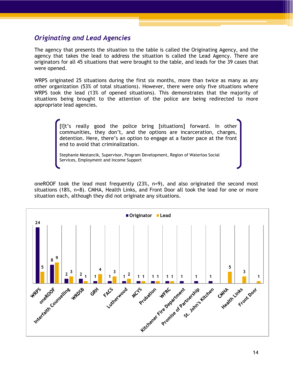#### <span id="page-13-0"></span>*Originating and Lead Agencies*

The agency that presents the situation to the table is called the Originating Agency, and the agency that takes the lead to address the situation is called the Lead Agency. There are originators for all 45 situations that were brought to the table, and leads for the 39 cases that were opened.

WRPS originated 25 situations during the first six months, more than twice as many as any other organization (53% of total situations). However, there were only five situations where WRPS took the lead (13% of opened situations). This demonstrates that the majority of situations being brought to the attention of the police are being redirected to more appropriate lead agencies.

> [I]t's really good the police bring [situations] forward. In other communities, they don't, and the options are incarceration, charges, detention. Here, there's an option to engage at a faster pace at the front end to avoid that criminalization.

Stephanie Mestancik, Supervisor, Program Development, Region of Waterloo Social Services, Employment and Income Support

oneROOF took the lead most frequently (23%, n=9), and also originated the second most situations (18%, n=8). CMHA, Health Links, and Front Door all took the lead for one or more situation each, although they did not originate any situations.

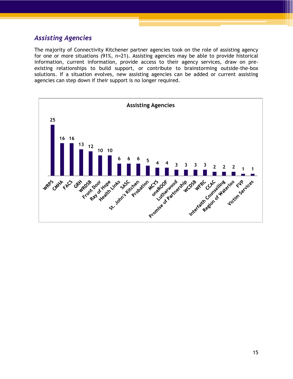#### <span id="page-14-0"></span>*Assisting Agencies*

The majority of Connectivity Kitchener partner agencies took on the role of assisting agency for one or more situations (91%, n=21). Assisting agencies may be able to provide historical information, current information, provide access to their agency services, draw on preexisting relationships to build support, or contribute to brainstorming outside-the-box solutions. If a situation evolves, new assisting agencies can be added or current assisting agencies can step down if their support is no longer required.